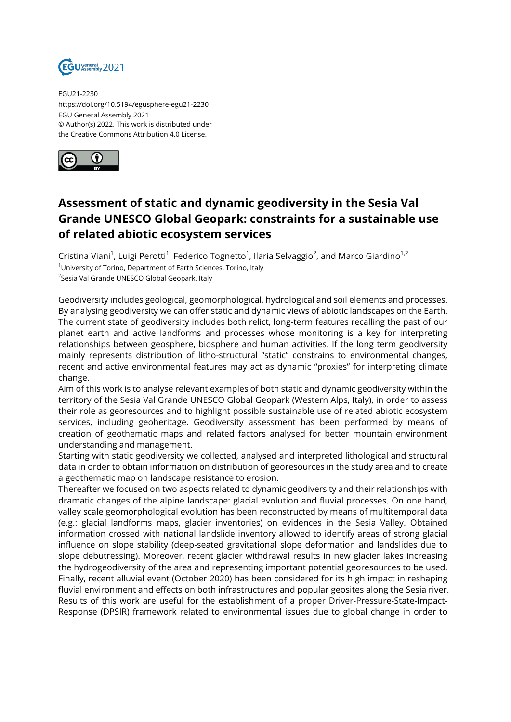

EGU21-2230 https://doi.org/10.5194/egusphere-egu21-2230 EGU General Assembly 2021 © Author(s) 2022. This work is distributed under the Creative Commons Attribution 4.0 License.



## **Assessment of static and dynamic geodiversity in the Sesia Val Grande UNESCO Global Geopark: constraints for a sustainable use of related abiotic ecosystem services**

Cristina Viani<sup>1</sup>, Luigi Perotti<sup>1</sup>, Federico Tognetto<sup>1</sup>, Ilaria Selvaggio<sup>2</sup>, and Marco Giardino<sup>1,2</sup> <sup>1</sup>University of Torino, Department of Earth Sciences, Torino, Italy <sup>2</sup>Sesia Val Grande UNESCO Global Geopark, Italy

Geodiversity includes geological, geomorphological, hydrological and soil elements and processes. By analysing geodiversity we can offer static and dynamic views of abiotic landscapes on the Earth. The current state of geodiversity includes both relict, long-term features recalling the past of our planet earth and active landforms and processes whose monitoring is a key for interpreting relationships between geosphere, biosphere and human activities. If the long term geodiversity mainly represents distribution of litho-structural "static" constrains to environmental changes, recent and active environmental features may act as dynamic "proxies" for interpreting climate change.

Aim of this work is to analyse relevant examples of both static and dynamic geodiversity within the territory of the Sesia Val Grande UNESCO Global Geopark (Western Alps, Italy), in order to assess their role as georesources and to highlight possible sustainable use of related abiotic ecosystem services, including geoheritage. Geodiversity assessment has been performed by means of creation of geothematic maps and related factors analysed for better mountain environment understanding and management.

Starting with static geodiversity we collected, analysed and interpreted lithological and structural data in order to obtain information on distribution of georesources in the study area and to create a geothematic map on landscape resistance to erosion.

Thereafter we focused on two aspects related to dynamic geodiversity and their relationships with dramatic changes of the alpine landscape: glacial evolution and fluvial processes. On one hand, valley scale geomorphological evolution has been reconstructed by means of multitemporal data (e.g.: glacial landforms maps, glacier inventories) on evidences in the Sesia Valley. Obtained information crossed with national landslide inventory allowed to identify areas of strong glacial influence on slope stability (deep-seated gravitational slope deformation and landslides due to slope debutressing). Moreover, recent glacier withdrawal results in new glacier lakes increasing the hydrogeodiversity of the area and representing important potential georesources to be used. Finally, recent alluvial event (October 2020) has been considered for its high impact in reshaping fluvial environment and effects on both infrastructures and popular geosites along the Sesia river. Results of this work are useful for the establishment of a proper Driver-Pressure-State-Impact-Response (DPSIR) framework related to environmental issues due to global change in order to